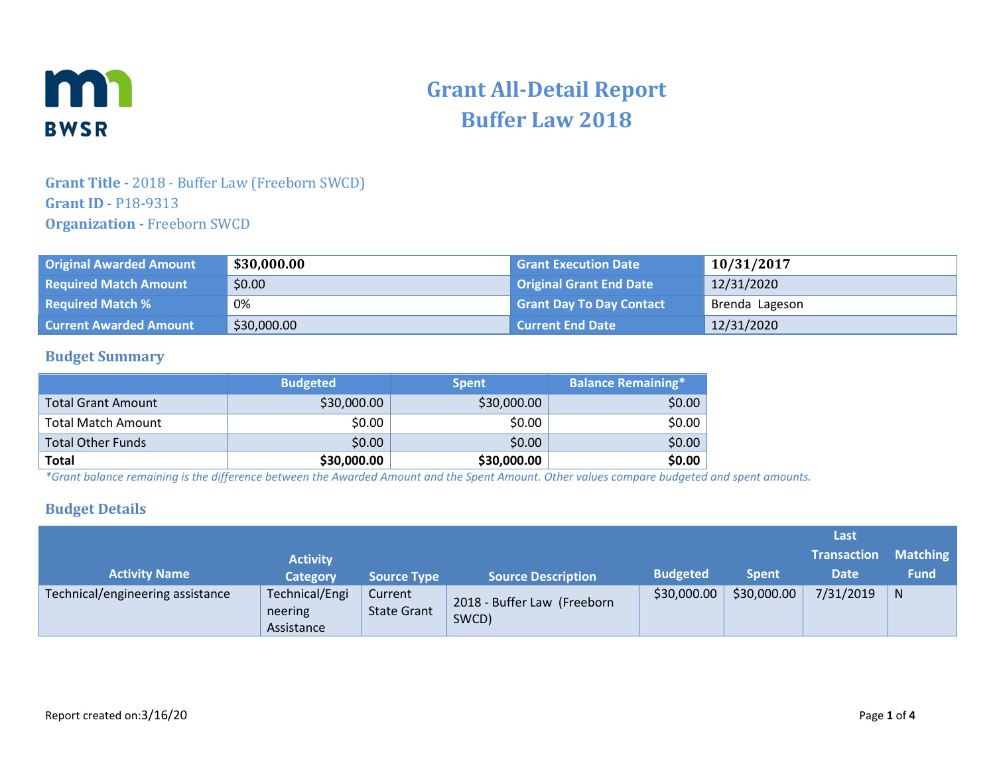

# **Grant All-Detail Report Buffer Law 2018**

### **Grant Title -** 2018 - Buffer Law (Freeborn SWCD) **Grant ID** - P18-9313 **Organization -** Freeborn SWCD

| <b>Original Awarded Amount</b> | \$30,000.00 | <b>Grant Execution Date</b>     | 10/31/2017     |
|--------------------------------|-------------|---------------------------------|----------------|
| <b>Required Match Amount</b>   | \$0.00      | Original Grant End Date         | 12/31/2020     |
| <b>Required Match %</b>        | 0%          | <b>Grant Day To Day Contact</b> | Brenda Lageson |
| <b>Current Awarded Amount</b>  | \$30,000.00 | <b>Current End Date</b>         | 12/31/2020     |

#### **Budget Summary**

|                           | <b>Budgeted</b> | <b>Spent</b> | <b>Balance Remaining*</b> |
|---------------------------|-----------------|--------------|---------------------------|
| Total Grant Amount        | \$30,000.00     | \$30,000.00  | \$0.00                    |
| <b>Total Match Amount</b> | \$0.00          | \$0.00       | \$0.00                    |
| <b>Total Other Funds</b>  | \$0.00          | \$0.00       | \$0.00                    |
| <b>Total</b>              | \$30,000.00     | \$30,000.00  | \$0.00                    |

*\*Grant balance remaining is the difference between the Awarded Amount and the Spent Amount. Other values compare budgeted and spent amounts.*

#### **Budget Details**

|                                  |                                         |                               |                                      |                 |              | Last               |                 |
|----------------------------------|-----------------------------------------|-------------------------------|--------------------------------------|-----------------|--------------|--------------------|-----------------|
|                                  | <b>Activity</b>                         |                               |                                      |                 |              | <b>Transaction</b> | <b>Matching</b> |
| <b>Activity Name</b>             | <b>Category</b>                         | <b>Source Type</b>            | <b>Source Description</b>            | <b>Budgeted</b> | <b>Spent</b> | <b>Date</b>        | <b>Fund</b>     |
| Technical/engineering assistance | Technical/Engi<br>neering<br>Assistance | Current<br><b>State Grant</b> | 2018 - Buffer Law (Freeborn<br>SWCD) | \$30,000.00     | \$30,000.00  | 7/31/2019          | N               |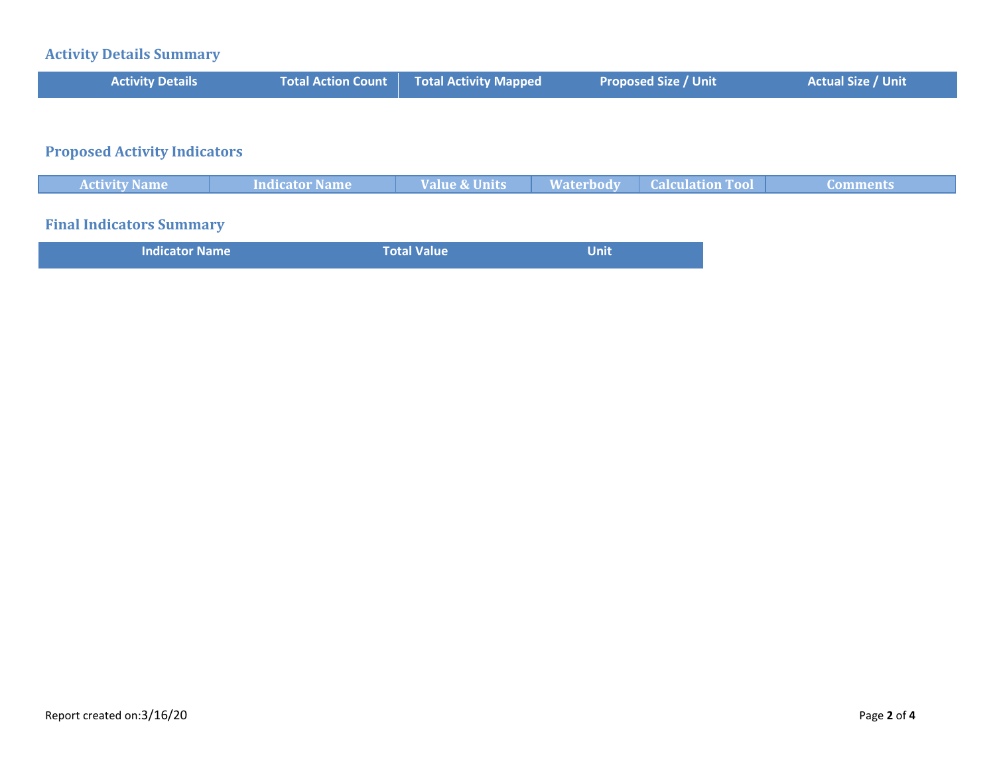# **Activity Details Summary**

| <b>Activity Details</b>             | <b>Total Action Count</b> | <b>Total Activity Mapped</b> | <b>Proposed Size / Unit</b>                 | <b>Actual Size / Unit</b> |
|-------------------------------------|---------------------------|------------------------------|---------------------------------------------|---------------------------|
|                                     |                           |                              |                                             |                           |
| <b>Proposed Activity Indicators</b> |                           |                              |                                             |                           |
| <b>Activity Name</b>                | <b>Indicator Name</b>     | <b>Value &amp; Units</b>     | <b>Calculation Tool</b><br><b>Waterbody</b> | <b>Comments</b>           |
| <b>Final Indicators Summary</b>     |                           |                              |                                             |                           |

| Total Value<br><b>Indicator Name</b><br>Unit |  |
|----------------------------------------------|--|
|----------------------------------------------|--|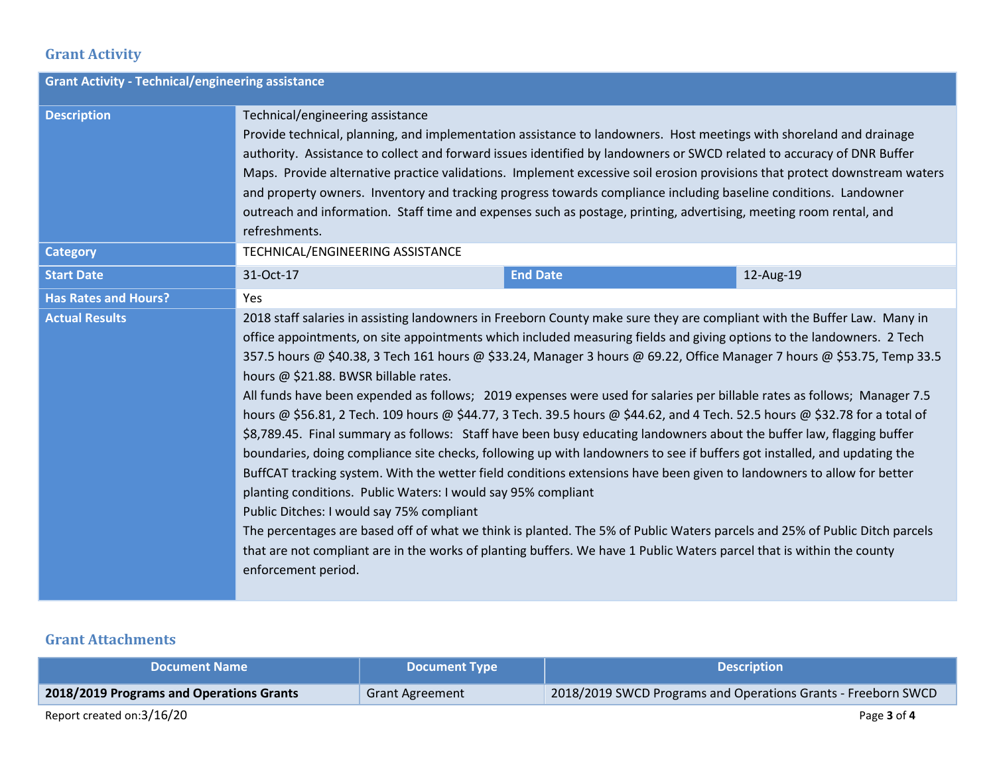# **Grant Activity**

| <b>Grant Activity - Technical/engineering assistance</b> |                                                                                                                                                                                                                                                                                                                                                                                                                                                                                                                                                                                                                                                                                                                                                                                                                                                                                                                                                                                                                                                                                                                                                                                                                                                                                                                                                                                                                                                              |  |  |  |  |
|----------------------------------------------------------|--------------------------------------------------------------------------------------------------------------------------------------------------------------------------------------------------------------------------------------------------------------------------------------------------------------------------------------------------------------------------------------------------------------------------------------------------------------------------------------------------------------------------------------------------------------------------------------------------------------------------------------------------------------------------------------------------------------------------------------------------------------------------------------------------------------------------------------------------------------------------------------------------------------------------------------------------------------------------------------------------------------------------------------------------------------------------------------------------------------------------------------------------------------------------------------------------------------------------------------------------------------------------------------------------------------------------------------------------------------------------------------------------------------------------------------------------------------|--|--|--|--|
| <b>Description</b>                                       | Technical/engineering assistance<br>Provide technical, planning, and implementation assistance to landowners. Host meetings with shoreland and drainage<br>authority. Assistance to collect and forward issues identified by landowners or SWCD related to accuracy of DNR Buffer<br>Maps. Provide alternative practice validations. Implement excessive soil erosion provisions that protect downstream waters<br>and property owners. Inventory and tracking progress towards compliance including baseline conditions. Landowner<br>outreach and information. Staff time and expenses such as postage, printing, advertising, meeting room rental, and<br>refreshments.                                                                                                                                                                                                                                                                                                                                                                                                                                                                                                                                                                                                                                                                                                                                                                                   |  |  |  |  |
| <b>Category</b>                                          | TECHNICAL/ENGINEERING ASSISTANCE                                                                                                                                                                                                                                                                                                                                                                                                                                                                                                                                                                                                                                                                                                                                                                                                                                                                                                                                                                                                                                                                                                                                                                                                                                                                                                                                                                                                                             |  |  |  |  |
| <b>Start Date</b>                                        | <b>End Date</b><br>12-Aug-19<br>31-Oct-17                                                                                                                                                                                                                                                                                                                                                                                                                                                                                                                                                                                                                                                                                                                                                                                                                                                                                                                                                                                                                                                                                                                                                                                                                                                                                                                                                                                                                    |  |  |  |  |
| <b>Has Rates and Hours?</b>                              | Yes                                                                                                                                                                                                                                                                                                                                                                                                                                                                                                                                                                                                                                                                                                                                                                                                                                                                                                                                                                                                                                                                                                                                                                                                                                                                                                                                                                                                                                                          |  |  |  |  |
| <b>Actual Results</b>                                    | 2018 staff salaries in assisting landowners in Freeborn County make sure they are compliant with the Buffer Law. Many in<br>office appointments, on site appointments which included measuring fields and giving options to the landowners. 2 Tech<br>357.5 hours @ \$40.38, 3 Tech 161 hours @ \$33.24, Manager 3 hours @ 69.22, Office Manager 7 hours @ \$53.75, Temp 33.5<br>hours @ \$21.88. BWSR billable rates.<br>All funds have been expended as follows; 2019 expenses were used for salaries per billable rates as follows; Manager 7.5<br>hours @ \$56.81, 2 Tech. 109 hours @ \$44.77, 3 Tech. 39.5 hours @ \$44.62, and 4 Tech. 52.5 hours @ \$32.78 for a total of<br>\$8,789.45. Final summary as follows: Staff have been busy educating landowners about the buffer law, flagging buffer<br>boundaries, doing compliance site checks, following up with landowners to see if buffers got installed, and updating the<br>BuffCAT tracking system. With the wetter field conditions extensions have been given to landowners to allow for better<br>planting conditions. Public Waters: I would say 95% compliant<br>Public Ditches: I would say 75% compliant<br>The percentages are based off of what we think is planted. The 5% of Public Waters parcels and 25% of Public Ditch parcels<br>that are not compliant are in the works of planting buffers. We have 1 Public Waters parcel that is within the county<br>enforcement period. |  |  |  |  |

## **Grant Attachments**

| <b>Document Name</b>                     | <b>Document Type</b>   | <b>Description</b>                                            |
|------------------------------------------|------------------------|---------------------------------------------------------------|
| 2018/2019 Programs and Operations Grants | <b>Grant Agreement</b> | 2018/2019 SWCD Programs and Operations Grants - Freeborn SWCD |
| Report created on:3/16/20                |                        | Page 3 of 4                                                   |